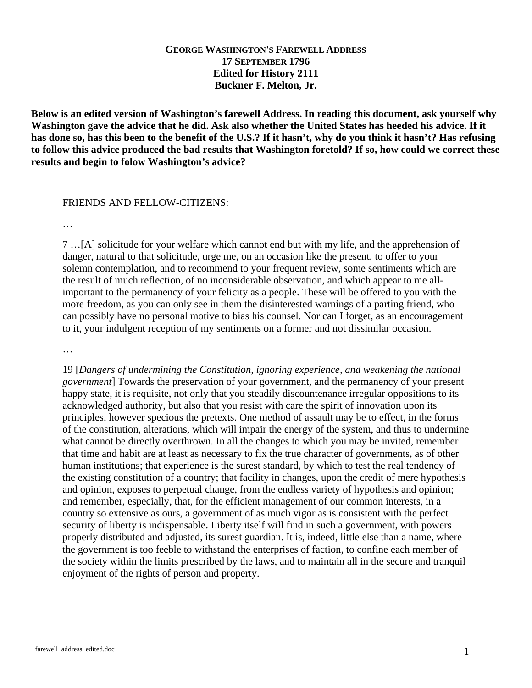## **GEORGE WASHINGTON'S FAREWELL ADDRESS 17 SEPTEMBER 1796 Edited for History 2111 Buckner F. Melton, Jr.**

**Below is an edited version of Washington's farewell Address. In reading this document, ask yourself why Washington gave the advice that he did. Ask also whether the United States has heeded his advice. If it has done so, has this been to the benefit of the U.S.? If it hasn't, why do you think it hasn't? Has refusing to follow this advice produced the bad results that Washington foretold? If so, how could we correct these results and begin to folow Washington's advice?** 

## FRIENDS AND FELLOW-CITIZENS:

…

7 …[A] solicitude for your welfare which cannot end but with my life, and the apprehension of danger, natural to that solicitude, urge me, on an occasion like the present, to offer to your solemn contemplation, and to recommend to your frequent review, some sentiments which are the result of much reflection, of no inconsiderable observation, and which appear to me allimportant to the permanency of your felicity as a people. These will be offered to you with the more freedom, as you can only see in them the disinterested warnings of a parting friend, who can possibly have no personal motive to bias his counsel. Nor can I forget, as an encouragement to it, your indulgent reception of my sentiments on a former and not dissimilar occasion.

…

19 [*Dangers of undermining the Constitution, ignoring experience, and weakening the national government*] Towards the preservation of your government, and the permanency of your present happy state, it is requisite, not only that you steadily discountenance irregular oppositions to its acknowledged authority, but also that you resist with care the spirit of innovation upon its principles, however specious the pretexts. One method of assault may be to effect, in the forms of the constitution, alterations, which will impair the energy of the system, and thus to undermine what cannot be directly overthrown. In all the changes to which you may be invited, remember that time and habit are at least as necessary to fix the true character of governments, as of other human institutions; that experience is the surest standard, by which to test the real tendency of the existing constitution of a country; that facility in changes, upon the credit of mere hypothesis and opinion, exposes to perpetual change, from the endless variety of hypothesis and opinion; and remember, especially, that, for the efficient management of our common interests, in a country so extensive as ours, a government of as much vigor as is consistent with the perfect security of liberty is indispensable. Liberty itself will find in such a government, with powers properly distributed and adjusted, its surest guardian. It is, indeed, little else than a name, where the government is too feeble to withstand the enterprises of faction, to confine each member of the society within the limits prescribed by the laws, and to maintain all in the secure and tranquil enjoyment of the rights of person and property.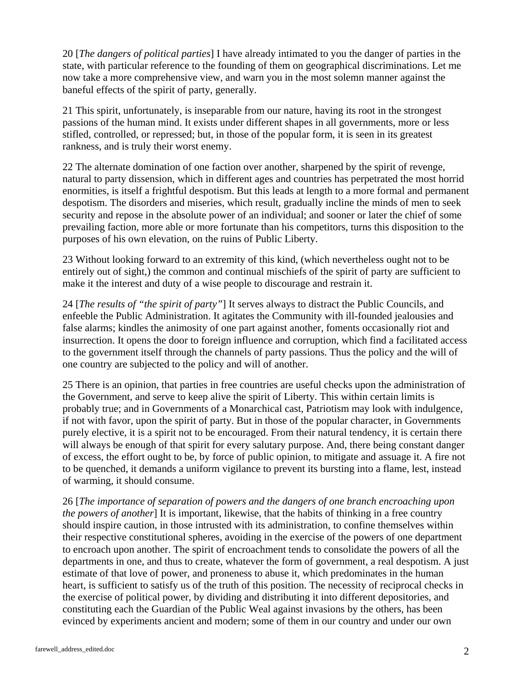20 [*The dangers of political parties*] I have already intimated to you the danger of parties in the state, with particular reference to the founding of them on geographical discriminations. Let me now take a more comprehensive view, and warn you in the most solemn manner against the baneful effects of the spirit of party, generally.

21 This spirit, unfortunately, is inseparable from our nature, having its root in the strongest passions of the human mind. It exists under different shapes in all governments, more or less stifled, controlled, or repressed; but, in those of the popular form, it is seen in its greatest rankness, and is truly their worst enemy.

22 The alternate domination of one faction over another, sharpened by the spirit of revenge, natural to party dissension, which in different ages and countries has perpetrated the most horrid enormities, is itself a frightful despotism. But this leads at length to a more formal and permanent despotism. The disorders and miseries, which result, gradually incline the minds of men to seek security and repose in the absolute power of an individual; and sooner or later the chief of some prevailing faction, more able or more fortunate than his competitors, turns this disposition to the purposes of his own elevation, on the ruins of Public Liberty.

23 Without looking forward to an extremity of this kind, (which nevertheless ought not to be entirely out of sight,) the common and continual mischiefs of the spirit of party are sufficient to make it the interest and duty of a wise people to discourage and restrain it.

24 [*The results of "the spirit of party"*] It serves always to distract the Public Councils, and enfeeble the Public Administration. It agitates the Community with ill-founded jealousies and false alarms; kindles the animosity of one part against another, foments occasionally riot and insurrection. It opens the door to foreign influence and corruption, which find a facilitated access to the government itself through the channels of party passions. Thus the policy and the will of one country are subjected to the policy and will of another.

25 There is an opinion, that parties in free countries are useful checks upon the administration of the Government, and serve to keep alive the spirit of Liberty. This within certain limits is probably true; and in Governments of a Monarchical cast, Patriotism may look with indulgence, if not with favor, upon the spirit of party. But in those of the popular character, in Governments purely elective, it is a spirit not to be encouraged. From their natural tendency, it is certain there will always be enough of that spirit for every salutary purpose. And, there being constant danger of excess, the effort ought to be, by force of public opinion, to mitigate and assuage it. A fire not to be quenched, it demands a uniform vigilance to prevent its bursting into a flame, lest, instead of warming, it should consume.

26 [*The importance of separation of powers and the dangers of one branch encroaching upon the powers of another*] It is important, likewise, that the habits of thinking in a free country should inspire caution, in those intrusted with its administration, to confine themselves within their respective constitutional spheres, avoiding in the exercise of the powers of one department to encroach upon another. The spirit of encroachment tends to consolidate the powers of all the departments in one, and thus to create, whatever the form of government, a real despotism. A just estimate of that love of power, and proneness to abuse it, which predominates in the human heart, is sufficient to satisfy us of the truth of this position. The necessity of reciprocal checks in the exercise of political power, by dividing and distributing it into different depositories, and constituting each the Guardian of the Public Weal against invasions by the others, has been evinced by experiments ancient and modern; some of them in our country and under our own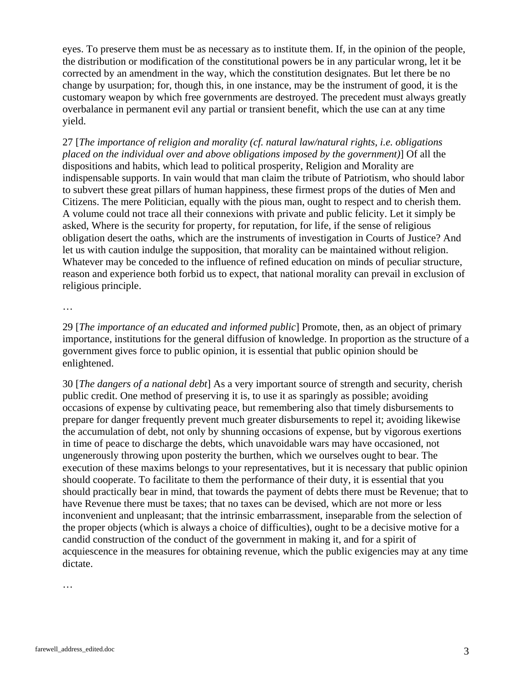eyes. To preserve them must be as necessary as to institute them. If, in the opinion of the people, the distribution or modification of the constitutional powers be in any particular wrong, let it be corrected by an amendment in the way, which the constitution designates. But let there be no change by usurpation; for, though this, in one instance, may be the instrument of good, it is the customary weapon by which free governments are destroyed. The precedent must always greatly overbalance in permanent evil any partial or transient benefit, which the use can at any time yield.

27 [*The importance of religion and morality (cf. natural law/natural rights, i.e. obligations placed on the individual over and above obligations imposed by the government)*] Of all the dispositions and habits, which lead to political prosperity, Religion and Morality are indispensable supports. In vain would that man claim the tribute of Patriotism, who should labor to subvert these great pillars of human happiness, these firmest props of the duties of Men and Citizens. The mere Politician, equally with the pious man, ought to respect and to cherish them. A volume could not trace all their connexions with private and public felicity. Let it simply be asked, Where is the security for property, for reputation, for life, if the sense of religious obligation desert the oaths, which are the instruments of investigation in Courts of Justice? And let us with caution indulge the supposition, that morality can be maintained without religion. Whatever may be conceded to the influence of refined education on minds of peculiar structure, reason and experience both forbid us to expect, that national morality can prevail in exclusion of religious principle.

…

29 [*The importance of an educated and informed public*] Promote, then, as an object of primary importance, institutions for the general diffusion of knowledge. In proportion as the structure of a government gives force to public opinion, it is essential that public opinion should be enlightened.

30 [*The dangers of a national debt*] As a very important source of strength and security, cherish public credit. One method of preserving it is, to use it as sparingly as possible; avoiding occasions of expense by cultivating peace, but remembering also that timely disbursements to prepare for danger frequently prevent much greater disbursements to repel it; avoiding likewise the accumulation of debt, not only by shunning occasions of expense, but by vigorous exertions in time of peace to discharge the debts, which unavoidable wars may have occasioned, not ungenerously throwing upon posterity the burthen, which we ourselves ought to bear. The execution of these maxims belongs to your representatives, but it is necessary that public opinion should cooperate. To facilitate to them the performance of their duty, it is essential that you should practically bear in mind, that towards the payment of debts there must be Revenue; that to have Revenue there must be taxes; that no taxes can be devised, which are not more or less inconvenient and unpleasant; that the intrinsic embarrassment, inseparable from the selection of the proper objects (which is always a choice of difficulties), ought to be a decisive motive for a candid construction of the conduct of the government in making it, and for a spirit of acquiescence in the measures for obtaining revenue, which the public exigencies may at any time dictate.

…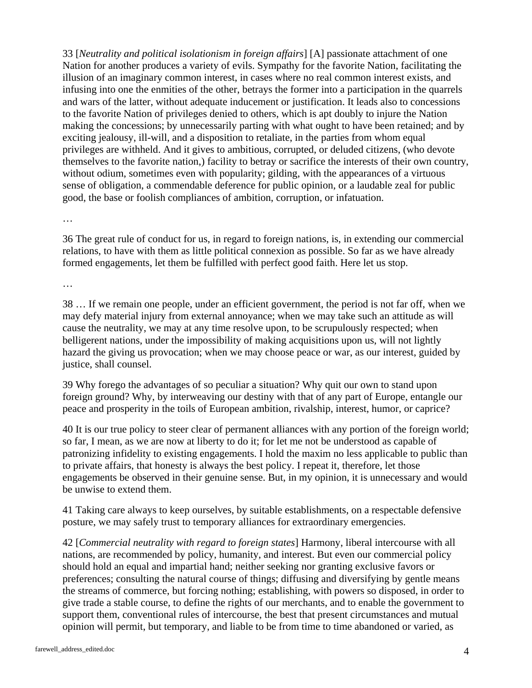33 [*Neutrality and political isolationism in foreign affairs*] [A] passionate attachment of one Nation for another produces a variety of evils. Sympathy for the favorite Nation, facilitating the illusion of an imaginary common interest, in cases where no real common interest exists, and infusing into one the enmities of the other, betrays the former into a participation in the quarrels and wars of the latter, without adequate inducement or justification. It leads also to concessions to the favorite Nation of privileges denied to others, which is apt doubly to injure the Nation making the concessions; by unnecessarily parting with what ought to have been retained; and by exciting jealousy, ill-will, and a disposition to retaliate, in the parties from whom equal privileges are withheld. And it gives to ambitious, corrupted, or deluded citizens, (who devote themselves to the favorite nation,) facility to betray or sacrifice the interests of their own country, without odium, sometimes even with popularity; gilding, with the appearances of a virtuous sense of obligation, a commendable deference for public opinion, or a laudable zeal for public good, the base or foolish compliances of ambition, corruption, or infatuation.

…

36 The great rule of conduct for us, in regard to foreign nations, is, in extending our commercial relations, to have with them as little political connexion as possible. So far as we have already formed engagements, let them be fulfilled with perfect good faith. Here let us stop.

…

38 … If we remain one people, under an efficient government, the period is not far off, when we may defy material injury from external annoyance; when we may take such an attitude as will cause the neutrality, we may at any time resolve upon, to be scrupulously respected; when belligerent nations, under the impossibility of making acquisitions upon us, will not lightly hazard the giving us provocation; when we may choose peace or war, as our interest, guided by justice, shall counsel.

39 Why forego the advantages of so peculiar a situation? Why quit our own to stand upon foreign ground? Why, by interweaving our destiny with that of any part of Europe, entangle our peace and prosperity in the toils of European ambition, rivalship, interest, humor, or caprice?

40 It is our true policy to steer clear of permanent alliances with any portion of the foreign world; so far, I mean, as we are now at liberty to do it; for let me not be understood as capable of patronizing infidelity to existing engagements. I hold the maxim no less applicable to public than to private affairs, that honesty is always the best policy. I repeat it, therefore, let those engagements be observed in their genuine sense. But, in my opinion, it is unnecessary and would be unwise to extend them.

41 Taking care always to keep ourselves, by suitable establishments, on a respectable defensive posture, we may safely trust to temporary alliances for extraordinary emergencies.

42 [*Commercial neutrality with regard to foreign states*] Harmony, liberal intercourse with all nations, are recommended by policy, humanity, and interest. But even our commercial policy should hold an equal and impartial hand; neither seeking nor granting exclusive favors or preferences; consulting the natural course of things; diffusing and diversifying by gentle means the streams of commerce, but forcing nothing; establishing, with powers so disposed, in order to give trade a stable course, to define the rights of our merchants, and to enable the government to support them, conventional rules of intercourse, the best that present circumstances and mutual opinion will permit, but temporary, and liable to be from time to time abandoned or varied, as